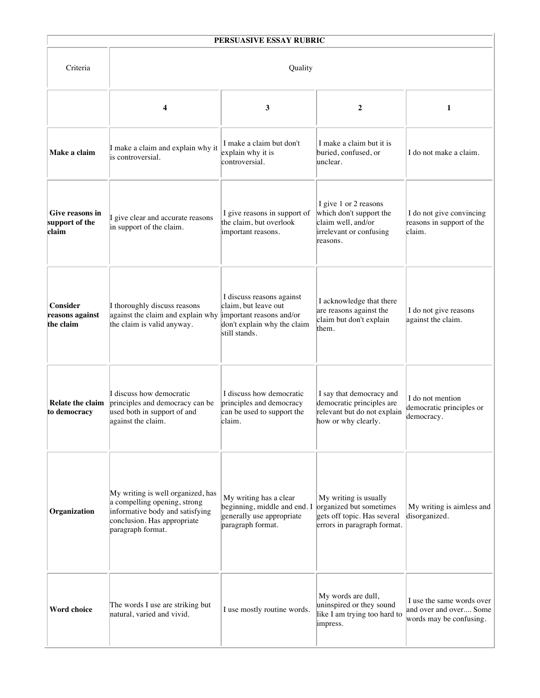|                                            |                                                                                                                                                          | PERSUASIVE ESSAY RUBRIC                                                                                                       |                                                                                                                |                                                                                |  |  |
|--------------------------------------------|----------------------------------------------------------------------------------------------------------------------------------------------------------|-------------------------------------------------------------------------------------------------------------------------------|----------------------------------------------------------------------------------------------------------------|--------------------------------------------------------------------------------|--|--|
| Criteria                                   | Quality                                                                                                                                                  |                                                                                                                               |                                                                                                                |                                                                                |  |  |
|                                            | 4                                                                                                                                                        | 3                                                                                                                             | $\boldsymbol{2}$                                                                                               | 1                                                                              |  |  |
| Make a claim                               | I make a claim and explain why it<br>is controversial.                                                                                                   | I make a claim but don't<br>explain why it is<br>controversial.                                                               | I make a claim but it is<br>buried, confused, or<br>unclear.                                                   | I do not make a claim.                                                         |  |  |
| Give reasons in<br>support of the<br>claim | I give clear and accurate reasons<br>in support of the claim.                                                                                            | I give reasons in support of<br>the claim, but overlook<br>important reasons.                                                 | I give 1 or 2 reasons<br>which don't support the<br>claim well, and/or<br>irrelevant or confusing<br>reasons.  | I do not give convincing<br>reasons in support of the<br>claim.                |  |  |
| Consider<br>reasons against<br>the claim   | I thoroughly discuss reasons<br>against the claim and explain why<br>the claim is valid anyway.                                                          | I discuss reasons against<br>claim, but leave out<br>important reasons and/or<br>don't explain why the claim<br>still stands. | I acknowledge that there<br>are reasons against the<br>claim but don't explain<br>them.                        | I do not give reasons<br>against the claim.                                    |  |  |
| <b>Relate the claim</b><br>to democracy    | I discuss how democratic<br>principles and democracy can be<br>used both in support of and<br>against the claim.                                         | I discuss how democratic<br>principles and democracy<br>can be used to support the<br>claim.                                  | I say that democracy and<br>democratic principles are<br>relevant but do not explain<br>how or why clearly.    | I do not mention<br>democratic principles or<br>democracy.                     |  |  |
| Organization                               | My writing is well organized, has<br>a compelling opening, strong<br>informative body and satisfying<br>conclusion. Has appropriate<br>paragraph format. | My writing has a clear<br>beginning, middle and end. I<br>generally use appropriate<br>paragraph format.                      | My writing is usually<br>organized but sometimes<br>gets off topic. Has several<br>errors in paragraph format. | My writing is aimless and<br>disorganized.                                     |  |  |
| <b>Word choice</b>                         | The words I use are striking but<br>natural, varied and vivid.                                                                                           | I use mostly routine words.                                                                                                   | My words are dull,<br>uninspired or they sound<br>like I am trying too hard to<br>impress.                     | I use the same words over<br>and over and over Some<br>words may be confusing. |  |  |